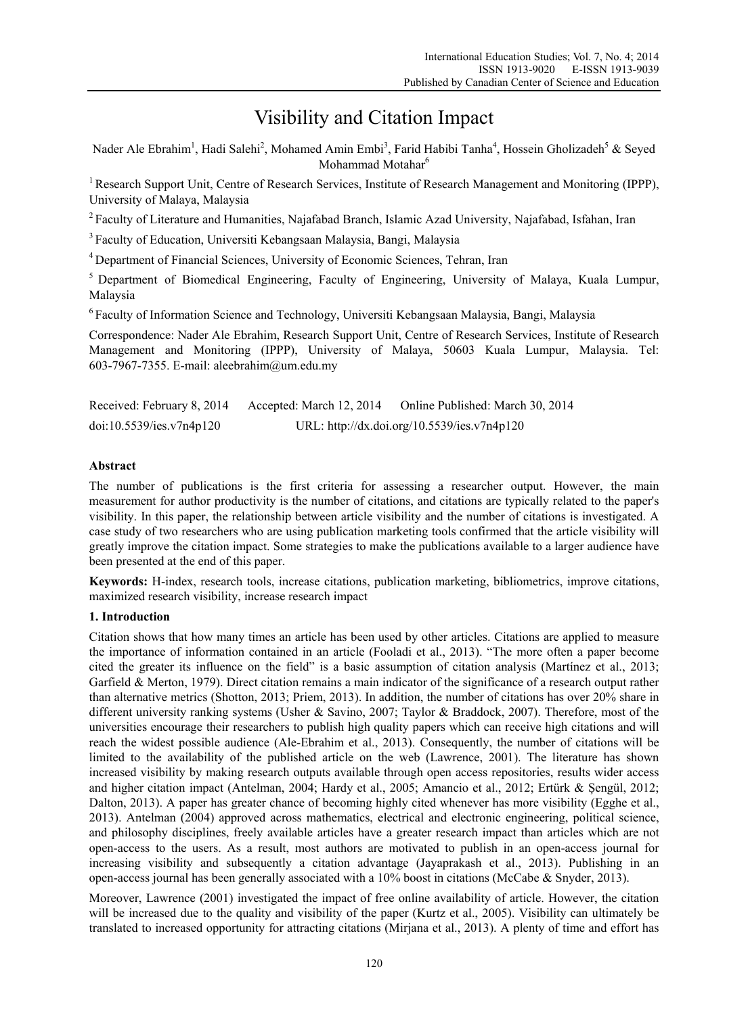# Visibility and Citation Impact

Nader Ale Ebrahim<sup>1</sup>, Hadi Salehi<sup>2</sup>, Mohamed Amin Embi<sup>3</sup>, Farid Habibi Tanha<sup>4</sup>, Hossein Gholizadeh<sup>5</sup> & Seyed Mohammad Motahar<sup>6</sup>

<sup>1</sup> Research Support Unit, Centre of Research Services, Institute of Research Management and Monitoring (IPPP), University of Malaya, Malaysia

<sup>2</sup> Faculty of Literature and Humanities, Najafabad Branch, Islamic Azad University, Najafabad, Isfahan, Iran

3 Faculty of Education, Universiti Kebangsaan Malaysia, Bangi, Malaysia

4 Department of Financial Sciences, University of Economic Sciences, Tehran, Iran

<sup>5</sup> Department of Biomedical Engineering, Faculty of Engineering, University of Malaya, Kuala Lumpur, Malaysia

6 Faculty of Information Science and Technology, Universiti Kebangsaan Malaysia, Bangi, Malaysia

Correspondence: Nader Ale Ebrahim, Research Support Unit, Centre of Research Services, Institute of Research Management and Monitoring (IPPP), University of Malaya, 50603 Kuala Lumpur, Malaysia. Tel: 603-7967-7355. E-mail: aleebrahim@um.edu.my

| Received: February 8, 2014 | Accepted: March 12, 2014 | Online Published: March 30, 2014            |
|----------------------------|--------------------------|---------------------------------------------|
| doi:10.5539/ies.v7n4p120   |                          | URL: http://dx.doi.org/10.5539/ies.v7n4p120 |

# **Abstract**

The number of publications is the first criteria for assessing a researcher output. However, the main measurement for author productivity is the number of citations, and citations are typically related to the paper's visibility. In this paper, the relationship between article visibility and the number of citations is investigated. A case study of two researchers who are using publication marketing tools confirmed that the article visibility will greatly improve the citation impact. Some strategies to make the publications available to a larger audience have been presented at the end of this paper.

**Keywords:** H-index, research tools, increase citations, publication marketing, bibliometrics, improve citations, maximized research visibility, increase research impact

## **1. Introduction**

Citation shows that how many times an article has been used by other articles. Citations are applied to measure the importance of information contained in an article (Fooladi et al., 2013). "The more often a paper become cited the greater its influence on the field" is a basic assumption of citation analysis (Martínez et al., 2013; Garfield & Merton, 1979). Direct citation remains a main indicator of the significance of a research output rather than alternative metrics (Shotton, 2013; Priem, 2013). In addition, the number of citations has over 20% share in different university ranking systems (Usher & Savino, 2007; Taylor & Braddock, 2007). Therefore, most of the universities encourage their researchers to publish high quality papers which can receive high citations and will reach the widest possible audience (Ale-Ebrahim et al., 2013). Consequently, the number of citations will be limited to the availability of the published article on the web (Lawrence, 2001). The literature has shown increased visibility by making research outputs available through open access repositories, results wider access and higher citation impact (Antelman, 2004; Hardy et al., 2005; Amancio et al., 2012; Ertürk & Şengül, 2012; Dalton, 2013). A paper has greater chance of becoming highly cited whenever has more visibility (Egghe et al., 2013). Antelman (2004) approved across mathematics, electrical and electronic engineering, political science, and philosophy disciplines, freely available articles have a greater research impact than articles which are not open-access to the users. As a result, most authors are motivated to publish in an open-access journal for increasing visibility and subsequently a citation advantage (Jayaprakash et al., 2013). Publishing in an open-access journal has been generally associated with a 10% boost in citations (McCabe & Snyder, 2013).

Moreover, Lawrence (2001) investigated the impact of free online availability of article. However, the citation will be increased due to the quality and visibility of the paper (Kurtz et al., 2005). Visibility can ultimately be translated to increased opportunity for attracting citations (Mirjana et al., 2013). A plenty of time and effort has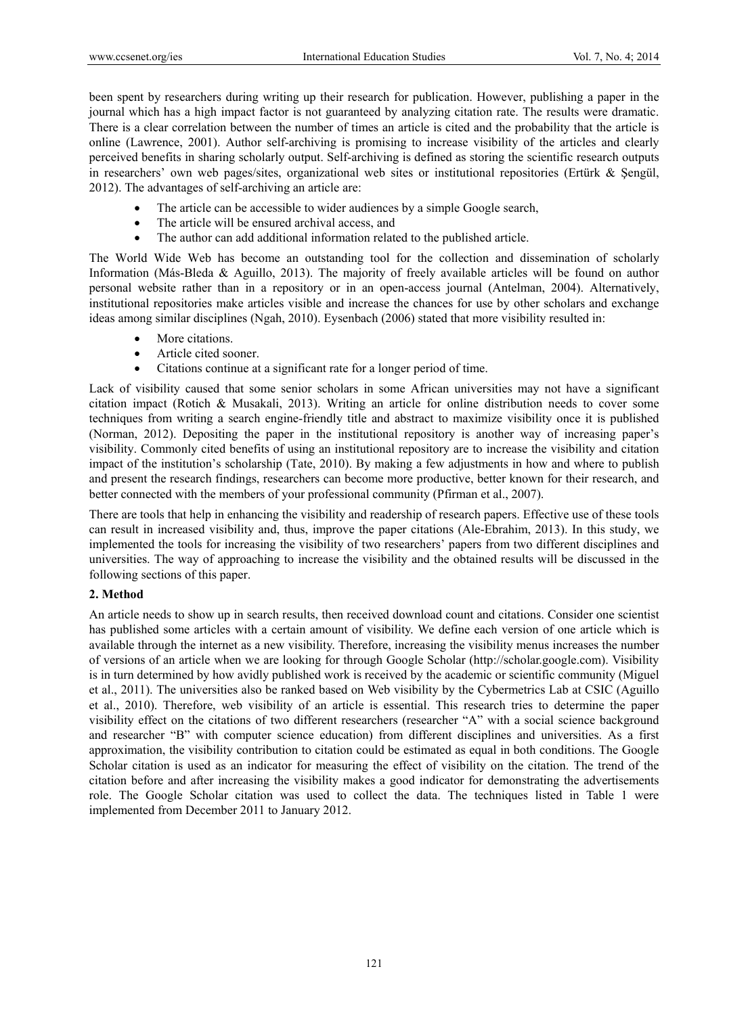been spent by researchers during writing up their research for publication. However, publishing a paper in the journal which has a high impact factor is not guaranteed by analyzing citation rate. The results were dramatic. There is a clear correlation between the number of times an article is cited and the probability that the article is online (Lawrence, 2001). Author self-archiving is promising to increase visibility of the articles and clearly perceived benefits in sharing scholarly output. Self-archiving is defined as storing the scientific research outputs in researchers' own web pages/sites, organizational web sites or institutional repositories (Ertürk & Şengül, 2012). The advantages of self-archiving an article are:

- The article can be accessible to wider audiences by a simple Google search,
- The article will be ensured archival access, and
- The author can add additional information related to the published article.

The World Wide Web has become an outstanding tool for the collection and dissemination of scholarly Information (Más-Bleda & Aguillo, 2013). The majority of freely available articles will be found on author personal website rather than in a repository or in an open-access journal (Antelman, 2004). Alternatively, institutional repositories make articles visible and increase the chances for use by other scholars and exchange ideas among similar disciplines (Ngah, 2010). Eysenbach (2006) stated that more visibility resulted in:

- More citations.
- Article cited sooner.
- Citations continue at a significant rate for a longer period of time.

Lack of visibility caused that some senior scholars in some African universities may not have a significant citation impact (Rotich & Musakali, 2013). Writing an article for online distribution needs to cover some techniques from writing a search engine-friendly title and abstract to maximize visibility once it is published (Norman, 2012). Depositing the paper in the institutional repository is another way of increasing paper's visibility. Commonly cited benefits of using an institutional repository are to increase the visibility and citation impact of the institution's scholarship (Tate, 2010). By making a few adjustments in how and where to publish and present the research findings, researchers can become more productive, better known for their research, and better connected with the members of your professional community (Pfirman et al., 2007).

There are tools that help in enhancing the visibility and readership of research papers. Effective use of these tools can result in increased visibility and, thus, improve the paper citations (Ale-Ebrahim, 2013). In this study, we implemented the tools for increasing the visibility of two researchers' papers from two different disciplines and universities. The way of approaching to increase the visibility and the obtained results will be discussed in the following sections of this paper.

## **2. Method**

An article needs to show up in search results, then received download count and citations. Consider one scientist has published some articles with a certain amount of visibility. We define each version of one article which is available through the internet as a new visibility. Therefore, increasing the visibility menus increases the number of versions of an article when we are looking for through Google Scholar (http://scholar.google.com). Visibility is in turn determined by how avidly published work is received by the academic or scientific community (Miguel et al., 2011). The universities also be ranked based on Web visibility by the Cybermetrics Lab at CSIC (Aguillo et al., 2010). Therefore, web visibility of an article is essential. This research tries to determine the paper visibility effect on the citations of two different researchers (researcher "A" with a social science background and researcher "B" with computer science education) from different disciplines and universities. As a first approximation, the visibility contribution to citation could be estimated as equal in both conditions. The Google Scholar citation is used as an indicator for measuring the effect of visibility on the citation. The trend of the citation before and after increasing the visibility makes a good indicator for demonstrating the advertisements role. The Google Scholar citation was used to collect the data. The techniques listed in Table 1 were implemented from December 2011 to January 2012.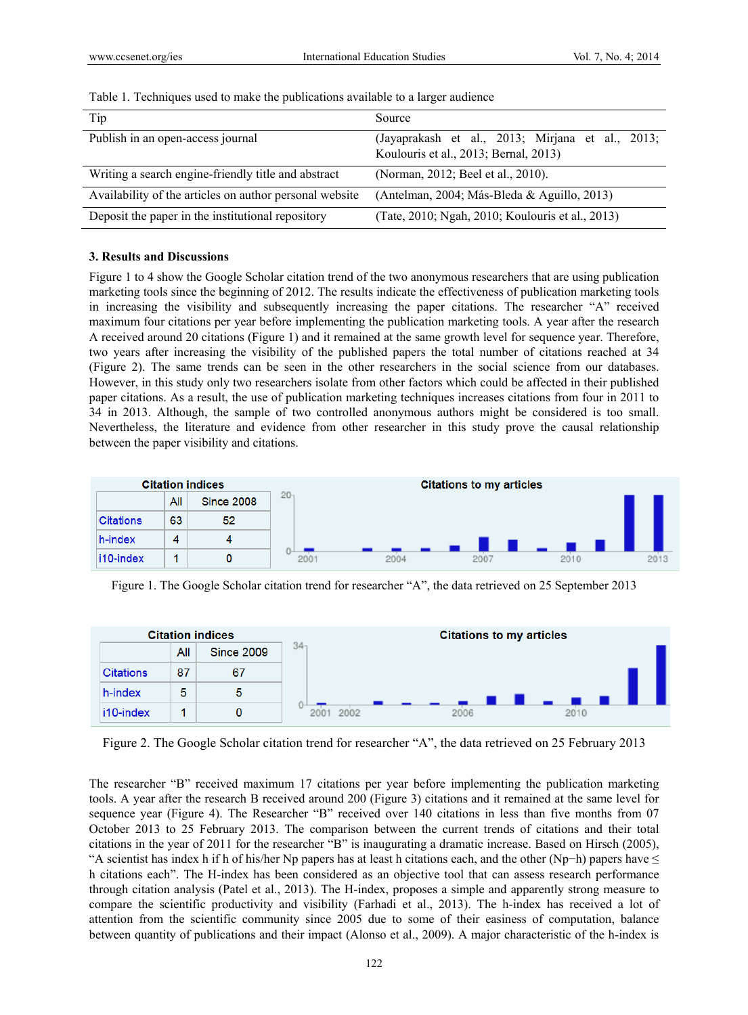| Tip                                                     | Source                                                                                    |  |  |  |  |
|---------------------------------------------------------|-------------------------------------------------------------------------------------------|--|--|--|--|
| Publish in an open-access journal                       | (Jayaprakash et al., 2013; Mirjana et al., 2013;<br>Koulouris et al., 2013; Bernal, 2013) |  |  |  |  |
| Writing a search engine-friendly title and abstract     | (Norman, 2012; Beel et al., 2010).                                                        |  |  |  |  |
| Availability of the articles on author personal website | (Antelman, 2004; Más-Bleda & Aguillo, 2013)                                               |  |  |  |  |
| Deposit the paper in the institutional repository       | (Tate, 2010; Ngah, 2010; Koulouris et al., 2013)                                          |  |  |  |  |

Table 1. Techniques used to make the publications available to a larger audience

#### **3. Results and Discussions**

Figure 1 to 4 show the Google Scholar citation trend of the two anonymous researchers that are using publication marketing tools since the beginning of 2012. The results indicate the effectiveness of publication marketing tools in increasing the visibility and subsequently increasing the paper citations. The researcher "A" received maximum four citations per year before implementing the publication marketing tools. A year after the research A received around 20 citations (Figure 1) and it remained at the same growth level for sequence year. Therefore, two years after increasing the visibility of the published papers the total number of citations reached at 34 (Figure 2). The same trends can be seen in the other researchers in the social science from our databases. However, in this study only two researchers isolate from other factors which could be affected in their published paper citations. As a result, the use of publication marketing techniques increases citations from four in 2011 to 34 in 2013. Although, the sample of two controlled anonymous authors might be considered is too small. Nevertheless, the literature and evidence from other researcher in this study prove the causal relationship between the paper visibility and citations.



Figure 1. The Google Scholar citation trend for researcher "A", the data retrieved on 25 September 2013



Figure 2. The Google Scholar citation trend for researcher "A", the data retrieved on 25 February 2013

The researcher "B" received maximum 17 citations per year before implementing the publication marketing tools. A year after the research B received around 200 (Figure 3) citations and it remained at the same level for sequence year (Figure 4). The Researcher "B" received over 140 citations in less than five months from 07 October 2013 to 25 February 2013. The comparison between the current trends of citations and their total citations in the year of 2011 for the researcher "B" is inaugurating a dramatic increase. Based on Hirsch (2005), "A scientist has index h if h of his/her Np papers has at least h citations each, and the other (Np−h) papers have  $\leq$ h citations each". The H-index has been considered as an objective tool that can assess research performance through citation analysis (Patel et al., 2013). The H-index, proposes a simple and apparently strong measure to compare the scientific productivity and visibility (Farhadi et al., 2013). The h-index has received a lot of attention from the scientific community since 2005 due to some of their easiness of computation, balance between quantity of publications and their impact (Alonso et al., 2009). A major characteristic of the h-index is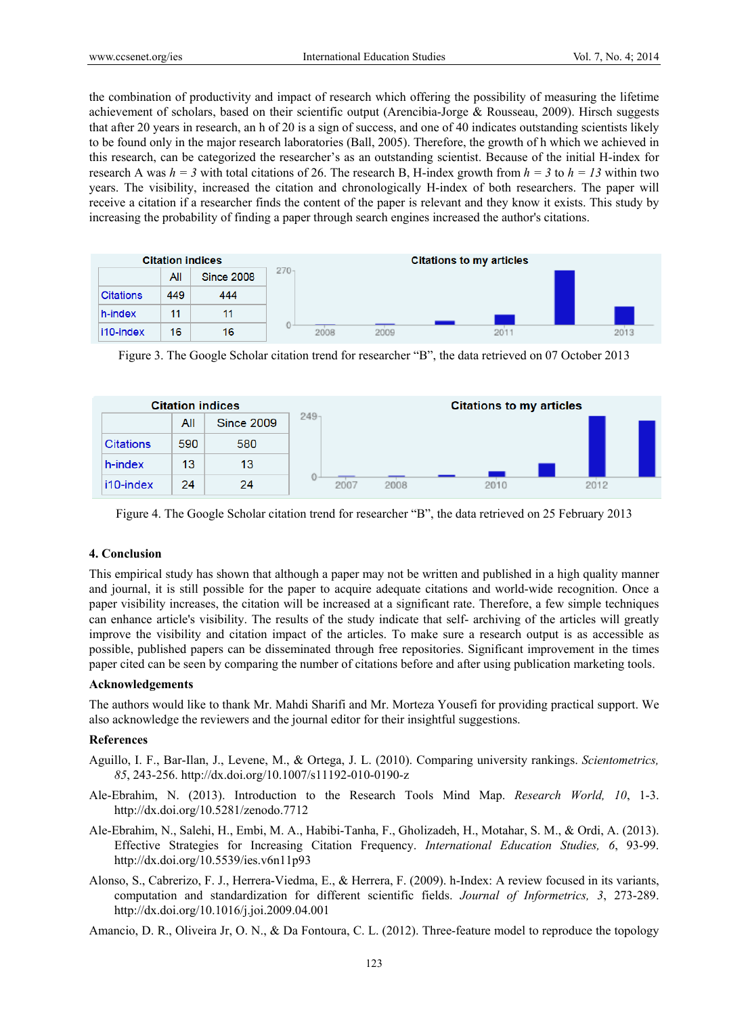the combination of productivity and impact of research which offering the possibility of measuring the lifetime achievement of scholars, based on their scientific output (Arencibia-Jorge & Rousseau, 2009). Hirsch suggests that after 20 years in research, an h of 20 is a sign of success, and one of 40 indicates outstanding scientists likely to be found only in the major research laboratories (Ball, 2005). Therefore, the growth of h which we achieved in this research, can be categorized the researcher's as an outstanding scientist. Because of the initial H-index for research A was  $h = 3$  with total citations of 26. The research B, H-index growth from  $h = 3$  to  $h = 13$  within two years. The visibility, increased the citation and chronologically H-index of both researchers. The paper will receive a citation if a researcher finds the content of the paper is relevant and they know it exists. This study by increasing the probability of finding a paper through search engines increased the author's citations.

| <b>Citation indices</b> |     |                   | <b>Citations to my articles</b> |      |      |     |  |      |
|-------------------------|-----|-------------------|---------------------------------|------|------|-----|--|------|
|                         | All | <b>Since 2008</b> | $270 -$                         |      |      |     |  |      |
| <b>Citations</b>        | 449 | 444               |                                 |      |      |     |  |      |
| h-index                 | 11  | 11                |                                 |      |      |     |  |      |
| i10-index               | 16  | 16                |                                 | 2008 | 2009 | 201 |  | 2013 |

Figure 3. The Google Scholar citation trend for researcher "B", the data retrieved on 07 October 2013



Figure 4. The Google Scholar citation trend for researcher "B", the data retrieved on 25 February 2013

# **4. Conclusion**

This empirical study has shown that although a paper may not be written and published in a high quality manner and journal, it is still possible for the paper to acquire adequate citations and world-wide recognition. Once a paper visibility increases, the citation will be increased at a significant rate. Therefore, a few simple techniques can enhance article's visibility. The results of the study indicate that self- archiving of the articles will greatly improve the visibility and citation impact of the articles. To make sure a research output is as accessible as possible, published papers can be disseminated through free repositories. Significant improvement in the times paper cited can be seen by comparing the number of citations before and after using publication marketing tools.

# **Acknowledgements**

The authors would like to thank Mr. Mahdi Sharifi and Mr. Morteza Yousefi for providing practical support. We also acknowledge the reviewers and the journal editor for their insightful suggestions.

## **References**

- Aguillo, I. F., Bar-Ilan, J., Levene, M., & Ortega, J. L. (2010). Comparing university rankings. *Scientometrics, 85*, 243-256. http://dx.doi.org/10.1007/s11192-010-0190-z
- Ale-Ebrahim, N. (2013). Introduction to the Research Tools Mind Map. *Research World, 10*, 1-3. http://dx.doi.org/10.5281/zenodo.7712
- Ale-Ebrahim, N., Salehi, H., Embi, M. A., Habibi-Tanha, F., Gholizadeh, H., Motahar, S. M., & Ordi, A. (2013). Effective Strategies for Increasing Citation Frequency. *International Education Studies, 6*, 93-99. http://dx.doi.org/10.5539/ies.v6n11p93
- Alonso, S., Cabrerizo, F. J., Herrera-Viedma, E., & Herrera, F. (2009). h-Index: A review focused in its variants, computation and standardization for different scientific fields. *Journal of Informetrics, 3*, 273-289. http://dx.doi.org/10.1016/j.joi.2009.04.001

Amancio, D. R., Oliveira Jr, O. N., & Da Fontoura, C. L. (2012). Three-feature model to reproduce the topology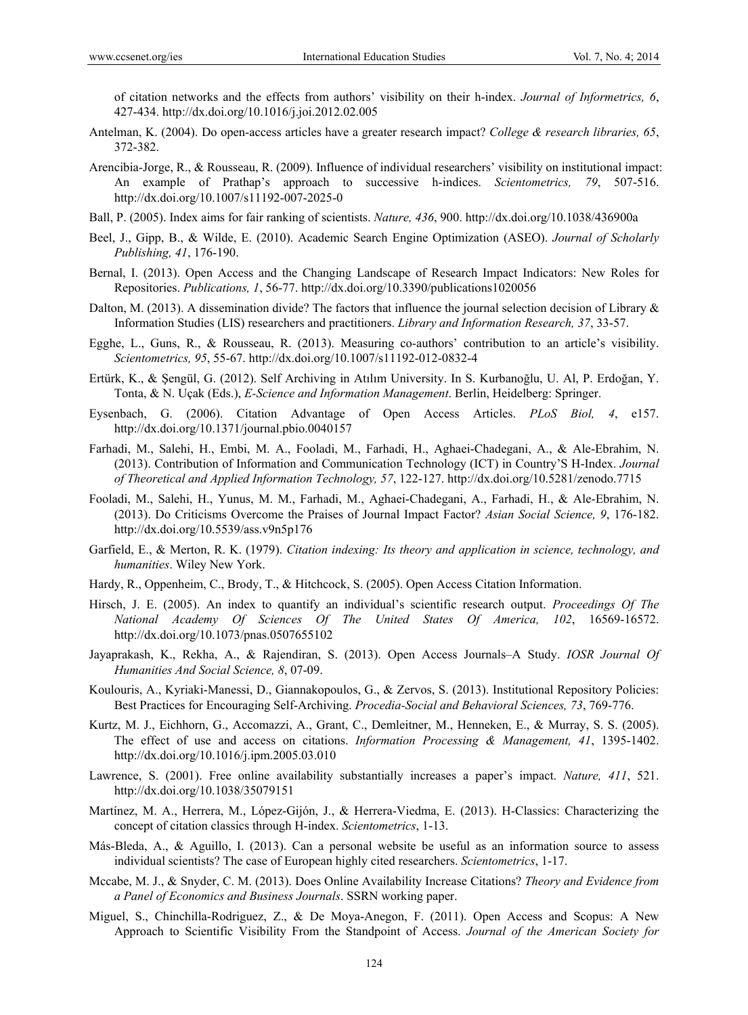of citation networks and the effects from authors' visibility on their h-index. *Journal of Informetrics, 6*, 427-434. http://dx.doi.org/10.1016/j.joi.2012.02.005

- Antelman, K. (2004). Do open-access articles have a greater research impact? *College & research libraries, 65*, 372-382.
- Arencibia-Jorge, R., & Rousseau, R. (2009). Influence of individual researchers' visibility on institutional impact: An example of Prathap's approach to successive h-indices. *Scientometrics, 79*, 507-516. http://dx.doi.org/10.1007/s11192-007-2025-0
- Ball, P. (2005). Index aims for fair ranking of scientists. *Nature, 436*, 900. http://dx.doi.org/10.1038/436900a
- Beel, J., Gipp, B., & Wilde, E. (2010). Academic Search Engine Optimization (ASEO). *Journal of Scholarly Publishing, 41*, 176-190.
- Bernal, I. (2013). Open Access and the Changing Landscape of Research Impact Indicators: New Roles for Repositories. *Publications, 1*, 56-77. http://dx.doi.org/10.3390/publications1020056
- Dalton, M. (2013). A dissemination divide? The factors that influence the journal selection decision of Library & Information Studies (LIS) researchers and practitioners. *Library and Information Research, 37*, 33-57.
- Egghe, L., Guns, R., & Rousseau, R. (2013). Measuring co-authors' contribution to an article's visibility. *Scientometrics, 95*, 55-67. http://dx.doi.org/10.1007/s11192-012-0832-4
- Ertürk, K., & Şengül, G. (2012). Self Archiving in Atılım University. In S. Kurbanoğlu, U. Al, P. Erdoğan, Y. Tonta, & N. Uçak (Eds.), *E-Science and Information Management*. Berlin, Heidelberg: Springer.
- Eysenbach, G. (2006). Citation Advantage of Open Access Articles. *PLoS Biol, 4*, e157. http://dx.doi.org/10.1371/journal.pbio.0040157
- Farhadi, M., Salehi, H., Embi, M. A., Fooladi, M., Farhadi, H., Aghaei-Chadegani, A., & Ale-Ebrahim, N. (2013). Contribution of Information and Communication Technology (ICT) in Country'S H-Index. *Journal of Theoretical and Applied Information Technology, 57*, 122-127. http://dx.doi.org/10.5281/zenodo.7715
- Fooladi, M., Salehi, H., Yunus, M. M., Farhadi, M., Aghaei-Chadegani, A., Farhadi, H., & Ale-Ebrahim, N. (2013). Do Criticisms Overcome the Praises of Journal Impact Factor? *Asian Social Science, 9*, 176-182. http://dx.doi.org/10.5539/ass.v9n5p176
- Garfield, E., & Merton, R. K. (1979). *Citation indexing: Its theory and application in science, technology, and humanities*. Wiley New York.
- Hardy, R., Oppenheim, C., Brody, T., & Hitchcock, S. (2005). Open Access Citation Information.
- Hirsch, J. E. (2005). An index to quantify an individual's scientific research output. *Proceedings Of The National Academy Of Sciences Of The United States Of America, 102*, 16569-16572. http://dx.doi.org/10.1073/pnas.0507655102
- Jayaprakash, K., Rekha, A., & Rajendiran, S. (2013). Open Access Journals–A Study. *IOSR Journal Of Humanities And Social Science, 8*, 07-09.
- Koulouris, A., Kyriaki-Manessi, D., Giannakopoulos, G., & Zervos, S. (2013). Institutional Repository Policies: Best Practices for Encouraging Self-Archiving. *Procedia-Social and Behavioral Sciences, 73*, 769-776.
- Kurtz, M. J., Eichhorn, G., Accomazzi, A., Grant, C., Demleitner, M., Henneken, E., & Murray, S. S. (2005). The effect of use and access on citations. *Information Processing & Management, 41*, 1395-1402. http://dx.doi.org/10.1016/j.ipm.2005.03.010
- Lawrence, S. (2001). Free online availability substantially increases a paper's impact. *Nature, 411*, 521. http://dx.doi.org/10.1038/35079151
- Martínez, M. A., Herrera, M., López-Gijón, J., & Herrera-Viedma, E. (2013). H-Classics: Characterizing the concept of citation classics through H-index. *Scientometrics*, 1-13.
- Más-Bleda, A., & Aguillo, I. (2013). Can a personal website be useful as an information source to assess individual scientists? The case of European highly cited researchers. *Scientometrics*, 1-17.
- Mccabe, M. J., & Snyder, C. M. (2013). Does Online Availability Increase Citations? *Theory and Evidence from a Panel of Economics and Business Journals*. SSRN working paper.
- Miguel, S., Chinchilla-Rodriguez, Z., & De Moya-Anegon, F. (2011). Open Access and Scopus: A New Approach to Scientific Visibility From the Standpoint of Access. *Journal of the American Society for*